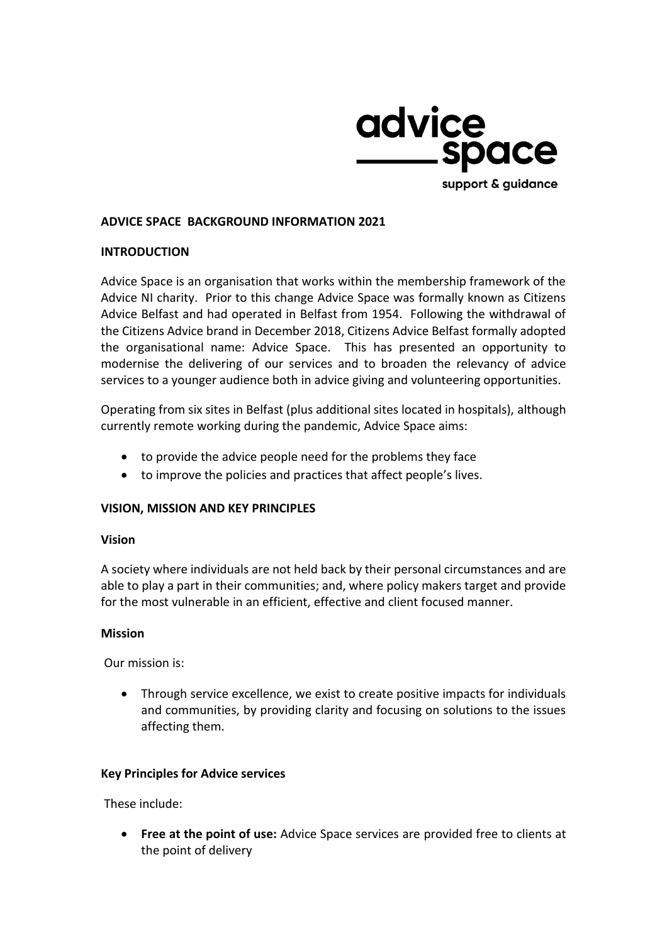

# **ADVICE SPACE BACKGROUND INFORMATION 2021**

# **INTRODUCTION**

Advice Space is an organisation that works within the membership framework of the Advice NI charity. Prior to this change Advice Space was formally known as Citizens Advice Belfast and had operated in Belfast from 1954. Following the withdrawal of the Citizens Advice brand in December 2018, Citizens Advice Belfast formally adopted the organisational name: Advice Space. This has presented an opportunity to modernise the delivering of our services and to broaden the relevancy of advice services to a younger audience both in advice giving and volunteering opportunities.

Operating from six sites in Belfast (plus additional sites located in hospitals), although currently remote working during the pandemic, Advice Space aims:

- to provide the advice people need for the problems they face
- to improve the policies and practices that affect people's lives.

# **VISION, MISSION AND KEY PRINCIPLES**

### **Vision**

A society where individuals are not held back by their personal circumstances and are able to play a part in their communities; and, where policy makers target and provide for the most vulnerable in an efficient, effective and client focused manner.

### **Mission**

Our mission is:

• Through service excellence, we exist to create positive impacts for individuals and communities, by providing clarity and focusing on solutions to the issues affecting them.

# **Key Principles for Advice services**

These include:

• **Free at the point of use:** Advice Space services are provided free to clients at the point of delivery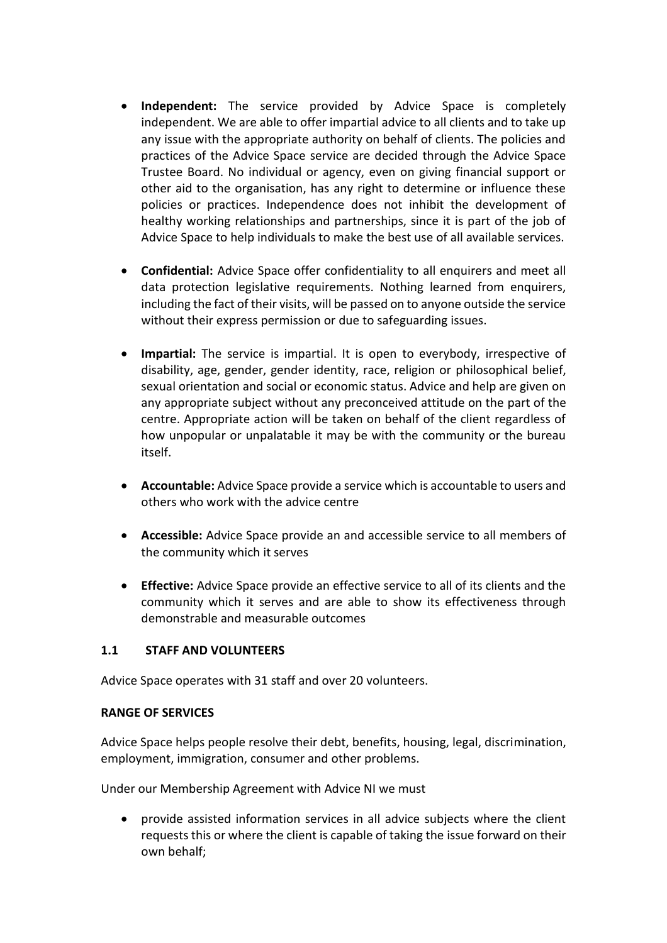- **Independent:** The service provided by Advice Space is completely independent. We are able to offer impartial advice to all clients and to take up any issue with the appropriate authority on behalf of clients. The policies and practices of the Advice Space service are decided through the Advice Space Trustee Board. No individual or agency, even on giving financial support or other aid to the organisation, has any right to determine or influence these policies or practices. Independence does not inhibit the development of healthy working relationships and partnerships, since it is part of the job of Advice Space to help individuals to make the best use of all available services.
- **Confidential:** Advice Space offer confidentiality to all enquirers and meet all data protection legislative requirements. Nothing learned from enquirers, including the fact of their visits, will be passed on to anyone outside the service without their express permission or due to safeguarding issues.
- Impartial: The service is impartial. It is open to everybody, irrespective of disability, age, gender, gender identity, race, religion or philosophical belief, sexual orientation and social or economic status. Advice and help are given on any appropriate subject without any preconceived attitude on the part of the centre. Appropriate action will be taken on behalf of the client regardless of how unpopular or unpalatable it may be with the community or the bureau itself.
- **Accountable:** Advice Space provide a service which is accountable to users and others who work with the advice centre
- **Accessible:** Advice Space provide an and accessible service to all members of the community which it serves
- **Effective:** Advice Space provide an effective service to all of its clients and the community which it serves and are able to show its effectiveness through demonstrable and measurable outcomes

# **1.1 STAFF AND VOLUNTEERS**

Advice Space operates with 31 staff and over 20 volunteers.

# **RANGE OF SERVICES**

Advice Space helps people resolve their debt, benefits, housing, legal, discrimination, employment, immigration, consumer and other problems.

Under our Membership Agreement with Advice NI we must

• provide assisted information services in all advice subjects where the client requests this or where the client is capable of taking the issue forward on their own behalf;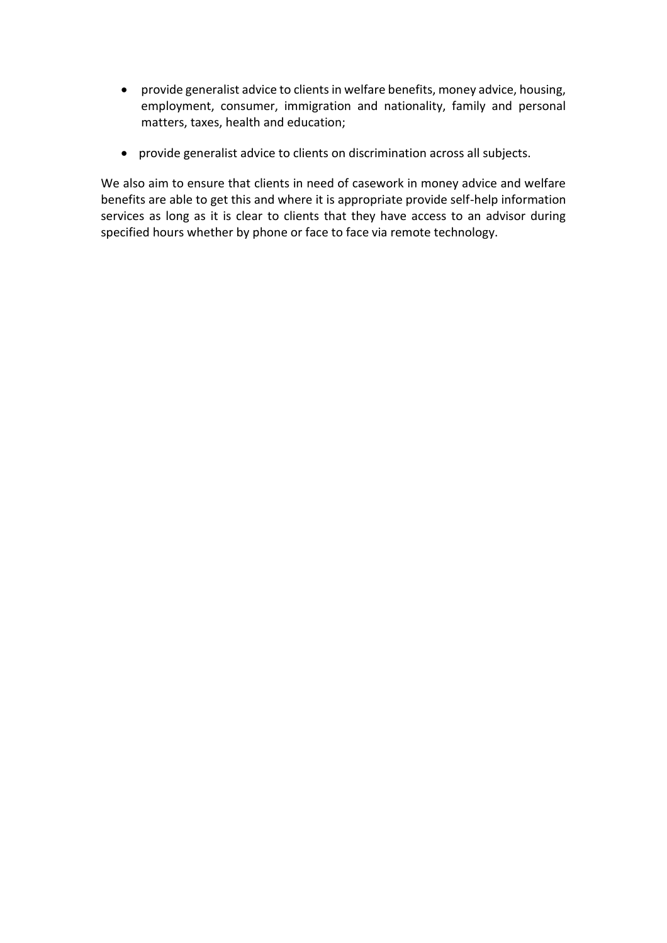- provide generalist advice to clients in welfare benefits, money advice, housing, employment, consumer, immigration and nationality, family and personal matters, taxes, health and education;
- provide generalist advice to clients on discrimination across all subjects.

We also aim to ensure that clients in need of casework in money advice and welfare benefits are able to get this and where it is appropriate provide self-help information services as long as it is clear to clients that they have access to an advisor during specified hours whether by phone or face to face via remote technology.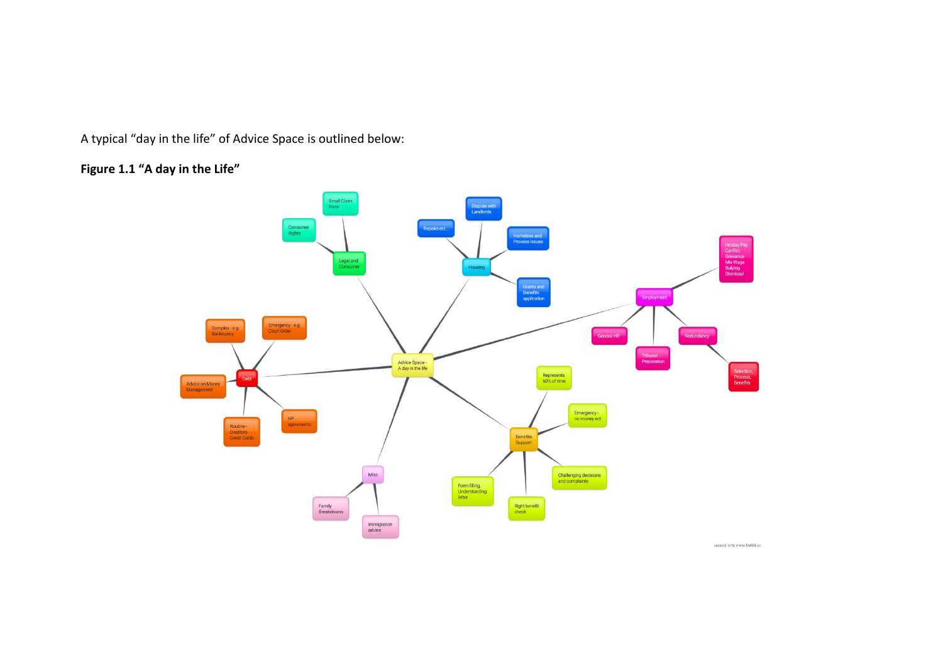A typical "day in the life" of Advice Space is outlined below:

# **Figure 1.1 "A day in the Life"**



created with www.bubbl.us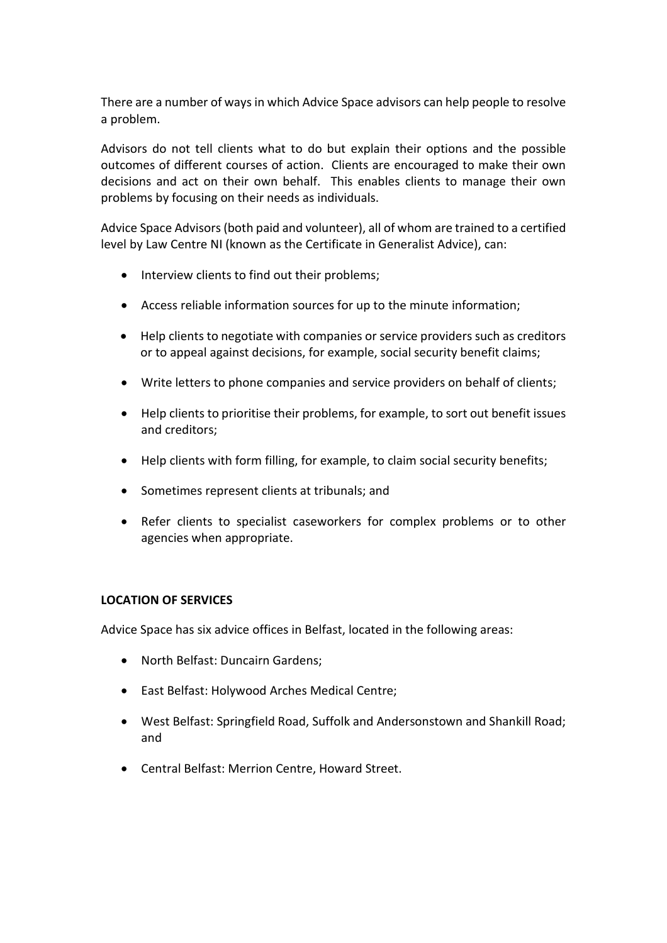There are a number of ways in which Advice Space advisors can help people to resolve a problem.

Advisors do not tell clients what to do but explain their options and the possible outcomes of different courses of action. Clients are encouraged to make their own decisions and act on their own behalf. This enables clients to manage their own problems by focusing on their needs as individuals.

Advice Space Advisors (both paid and volunteer), all of whom are trained to a certified level by Law Centre NI (known as the Certificate in Generalist Advice), can:

- Interview clients to find out their problems;
- Access reliable information sources for up to the minute information;
- Help clients to negotiate with companies or service providers such as creditors or to appeal against decisions, for example, social security benefit claims;
- Write letters to phone companies and service providers on behalf of clients;
- Help clients to prioritise their problems, for example, to sort out benefit issues and creditors;
- Help clients with form filling, for example, to claim social security benefits;
- Sometimes represent clients at tribunals; and
- Refer clients to specialist caseworkers for complex problems or to other agencies when appropriate.

# **LOCATION OF SERVICES**

Advice Space has six advice offices in Belfast, located in the following areas:

- North Belfast: Duncairn Gardens;
- East Belfast: Holywood Arches Medical Centre;
- West Belfast: Springfield Road, Suffolk and Andersonstown and Shankill Road; and
- Central Belfast: Merrion Centre, Howard Street.